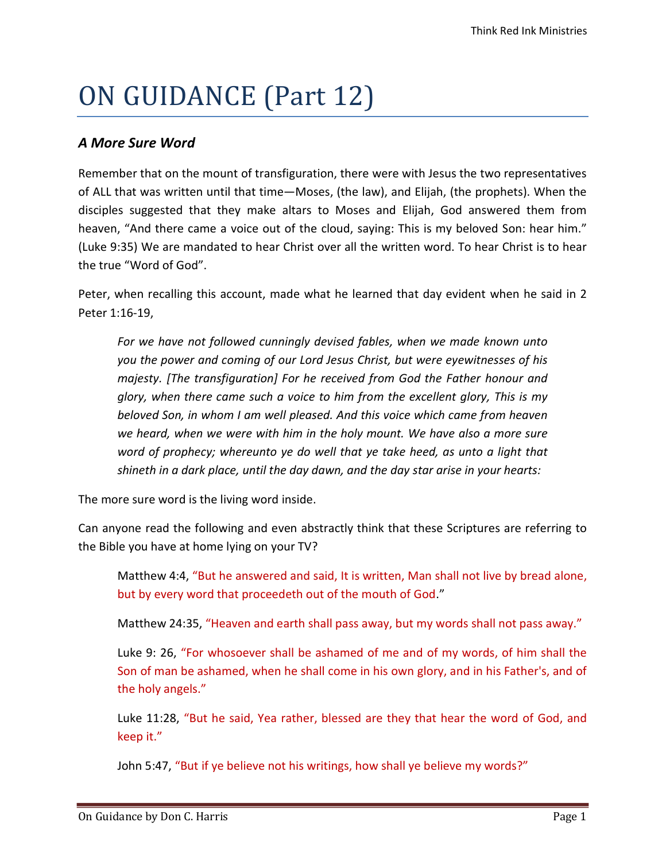## ON GUIDANCE (Part 12)

## A More Sure Word

Remember that on the mount of transfiguration, there were with Jesus the two representatives of ALL that was written until that time—Moses, (the law), and Elijah, (the prophets). When the disciples suggested that they make altars to Moses and Elijah, God answered them from heaven, "And there came a voice out of the cloud, saying: This is my beloved Son: hear him." (Luke 9:35) We are mandated to hear Christ over all the written word. To hear Christ is to hear the true "Word of God".

Peter, when recalling this account, made what he learned that day evident when he said in 2 Peter 1:16-19,

For we have not followed cunningly devised fables, when we made known unto you the power and coming of our Lord Jesus Christ, but were eyewitnesses of his majesty. [The transfiguration] For he received from God the Father honour and glory, when there came such a voice to him from the excellent glory, This is my beloved Son, in whom I am well pleased. And this voice which came from heaven we heard, when we were with him in the holy mount. We have also a more sure word of prophecy; whereunto ye do well that ye take heed, as unto a light that shineth in a dark place, until the day dawn, and the day star arise in your hearts:

The more sure word is the living word inside.

Can anyone read the following and even abstractly think that these Scriptures are referring to the Bible you have at home lying on your TV?

Matthew 4:4, "But he answered and said, It is written, Man shall not live by bread alone, but by every word that proceedeth out of the mouth of God."

Matthew 24:35, "Heaven and earth shall pass away, but my words shall not pass away."

Luke 9: 26, "For whosoever shall be ashamed of me and of my words, of him shall the Son of man be ashamed, when he shall come in his own glory, and in his Father's, and of the holy angels."

Luke 11:28, "But he said, Yea rather, blessed are they that hear the word of God, and keep it."

John 5:47, "But if ye believe not his writings, how shall ye believe my words?"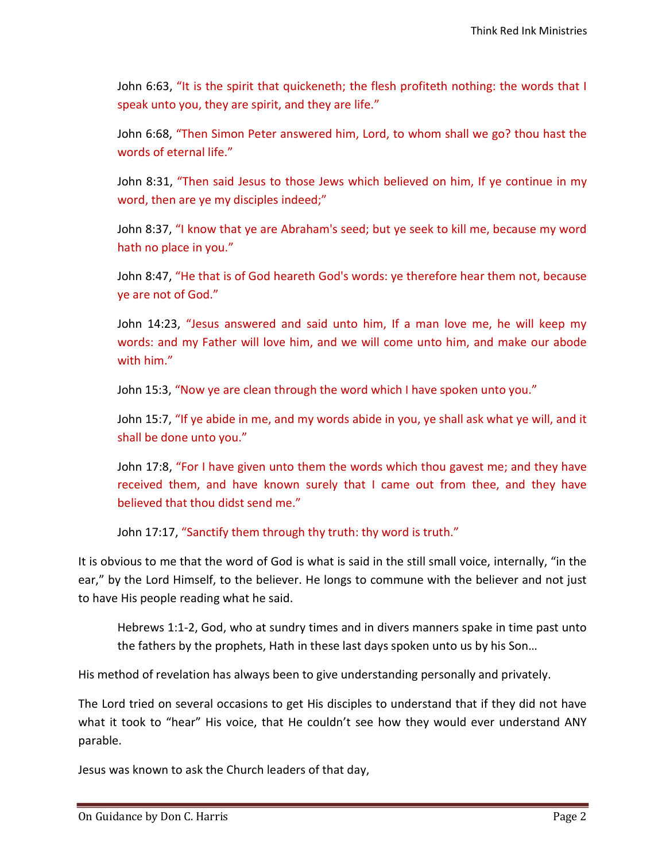John 6:63, "It is the spirit that quickeneth; the flesh profiteth nothing: the words that I speak unto you, they are spirit, and they are life."

John 6:68, "Then Simon Peter answered him, Lord, to whom shall we go? thou hast the words of eternal life."

John 8:31, "Then said Jesus to those Jews which believed on him, If ye continue in my word, then are ye my disciples indeed;"

John 8:37, "I know that ye are Abraham's seed; but ye seek to kill me, because my word hath no place in you."

John 8:47, "He that is of God heareth God's words: ye therefore hear them not, because ye are not of God."

John 14:23, "Jesus answered and said unto him, If a man love me, he will keep my words: and my Father will love him, and we will come unto him, and make our abode with him."

John 15:3, "Now ye are clean through the word which I have spoken unto you."

John 15:7, "If ye abide in me, and my words abide in you, ye shall ask what ye will, and it shall be done unto you."

John 17:8, "For I have given unto them the words which thou gavest me; and they have received them, and have known surely that I came out from thee, and they have believed that thou didst send me."

John 17:17, "Sanctify them through thy truth: thy word is truth."

It is obvious to me that the word of God is what is said in the still small voice, internally, "in the ear," by the Lord Himself, to the believer. He longs to commune with the believer and not just to have His people reading what he said.

Hebrews 1:1-2, God, who at sundry times and in divers manners spake in time past unto the fathers by the prophets, Hath in these last days spoken unto us by his Son…

His method of revelation has always been to give understanding personally and privately.

The Lord tried on several occasions to get His disciples to understand that if they did not have what it took to "hear" His voice, that He couldn't see how they would ever understand ANY parable.

Jesus was known to ask the Church leaders of that day,